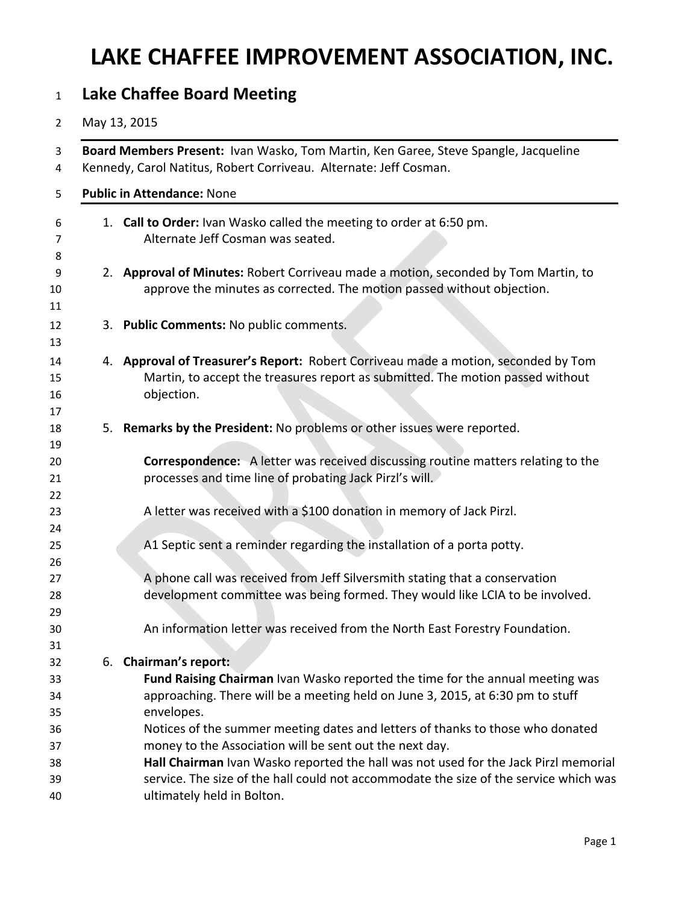## **LAKE CHAFFEE IMPROVEMENT ASSOCIATION, INC.**

| <b>Lake Chaffee Board Meeting</b>                                                                                                                        |                                                                                                                                                                                                            |  |  |  |  |  |  |
|----------------------------------------------------------------------------------------------------------------------------------------------------------|------------------------------------------------------------------------------------------------------------------------------------------------------------------------------------------------------------|--|--|--|--|--|--|
|                                                                                                                                                          | May 13, 2015                                                                                                                                                                                               |  |  |  |  |  |  |
| Board Members Present: Ivan Wasko, Tom Martin, Ken Garee, Steve Spangle, Jacqueline<br>Kennedy, Carol Natitus, Robert Corriveau. Alternate: Jeff Cosman. |                                                                                                                                                                                                            |  |  |  |  |  |  |
|                                                                                                                                                          | <b>Public in Attendance: None</b>                                                                                                                                                                          |  |  |  |  |  |  |
|                                                                                                                                                          | 1. Call to Order: Ivan Wasko called the meeting to order at 6:50 pm.<br>Alternate Jeff Cosman was seated.                                                                                                  |  |  |  |  |  |  |
|                                                                                                                                                          | 2. Approval of Minutes: Robert Corriveau made a motion, seconded by Tom Martin, to<br>approve the minutes as corrected. The motion passed without objection.                                               |  |  |  |  |  |  |
|                                                                                                                                                          | 3. Public Comments: No public comments.                                                                                                                                                                    |  |  |  |  |  |  |
|                                                                                                                                                          | 4. Approval of Treasurer's Report: Robert Corriveau made a motion, seconded by Tom<br>Martin, to accept the treasures report as submitted. The motion passed without<br>objection.                         |  |  |  |  |  |  |
|                                                                                                                                                          | 5. Remarks by the President: No problems or other issues were reported.                                                                                                                                    |  |  |  |  |  |  |
|                                                                                                                                                          | <b>Correspondence:</b> A letter was received discussing routine matters relating to the<br>processes and time line of probating Jack Pirzl's will.                                                         |  |  |  |  |  |  |
|                                                                                                                                                          | A letter was received with a \$100 donation in memory of Jack Pirzl.                                                                                                                                       |  |  |  |  |  |  |
|                                                                                                                                                          | A1 Septic sent a reminder regarding the installation of a porta potty.                                                                                                                                     |  |  |  |  |  |  |
|                                                                                                                                                          | A phone call was received from Jeff Silversmith stating that a conservation<br>development committee was being formed. They would like LCIA to be involved.                                                |  |  |  |  |  |  |
|                                                                                                                                                          | An information letter was received from the North East Forestry Foundation.                                                                                                                                |  |  |  |  |  |  |
|                                                                                                                                                          | 6. Chairman's report:                                                                                                                                                                                      |  |  |  |  |  |  |
|                                                                                                                                                          | Fund Raising Chairman Ivan Wasko reported the time for the annual meeting was<br>approaching. There will be a meeting held on June 3, 2015, at 6:30 pm to stuff<br>envelopes.                              |  |  |  |  |  |  |
|                                                                                                                                                          | Notices of the summer meeting dates and letters of thanks to those who donated<br>money to the Association will be sent out the next day.                                                                  |  |  |  |  |  |  |
|                                                                                                                                                          | Hall Chairman Ivan Wasko reported the hall was not used for the Jack Pirzl memorial<br>service. The size of the hall could not accommodate the size of the service which was<br>ultimately held in Bolton. |  |  |  |  |  |  |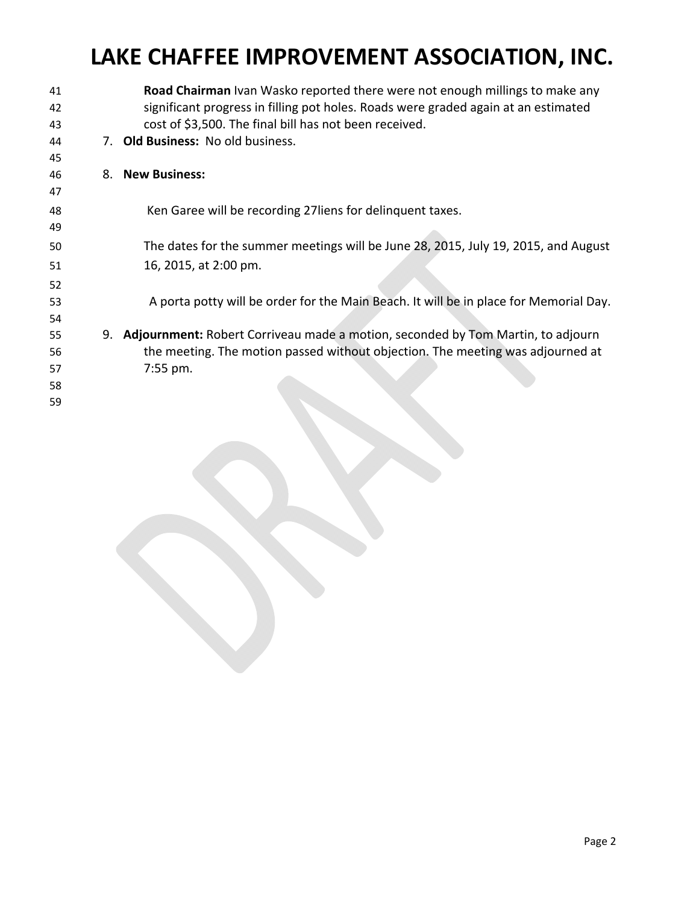## **LAKE CHAFFEE IMPROVEMENT ASSOCIATION, INC.**

| 41 | Road Chairman Ivan Wasko reported there were not enough millings to make any          |
|----|---------------------------------------------------------------------------------------|
| 42 | significant progress in filling pot holes. Roads were graded again at an estimated    |
| 43 | cost of \$3,500. The final bill has not been received.                                |
| 44 | 7. Old Business: No old business.                                                     |
| 45 |                                                                                       |
| 46 | 8. New Business:                                                                      |
| 47 |                                                                                       |
| 48 | Ken Garee will be recording 27 liens for delinquent taxes.                            |
| 49 |                                                                                       |
| 50 | The dates for the summer meetings will be June 28, 2015, July 19, 2015, and August    |
| 51 | 16, 2015, at 2:00 pm.                                                                 |
| 52 |                                                                                       |
| 53 | A porta potty will be order for the Main Beach. It will be in place for Memorial Day. |
| 54 |                                                                                       |
| 55 | 9. Adjournment: Robert Corriveau made a motion, seconded by Tom Martin, to adjourn    |
| 56 | the meeting. The motion passed without objection. The meeting was adjourned at        |
| 57 | 7:55 pm.                                                                              |
| 58 |                                                                                       |
| 59 |                                                                                       |
|    |                                                                                       |